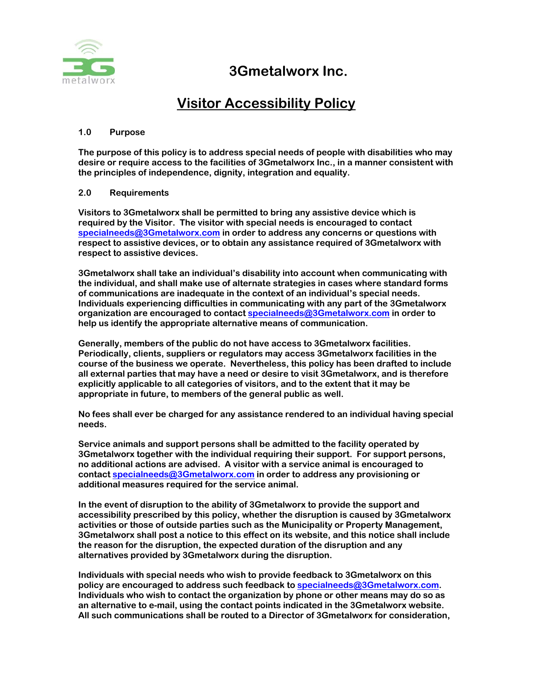

## **3Gmetalworx Inc.**

## **Visitor Accessibility Policy**

## **1.0 Purpose**

**The purpose of this policy is to address special needs of people with disabilities who may desire or require access to the facilities of 3Gmetalworx Inc., in a manner consistent with the principles of independence, dignity, integration and equality.** 

## **2.0 Requirements**

**Visitors to 3Gmetalworx shall be permitted to bring any assistive device which is required by the Visitor. The visitor with special needs is encouraged to contact specialneeds@3Gmetalworx.com in order to address any concerns or questions with respect to assistive devices, or to obtain any assistance required of 3Gmetalworx with respect to assistive devices.** 

3Gmetalworx shall take an individual's disability into account when communicating with **the individual, and shall make use of alternate strategies in cases where standard forms**  of communications are inadequate in the context of an individual's special needs. **Individuals experiencing difficulties in communicating with any part of the 3Gmetalworx organization are encouraged to contact specialneeds@3Gmetalworx.com in order to help us identify the appropriate alternative means of communication.** 

**Generally, members of the public do not have access to 3Gmetalworx facilities. Periodically, clients, suppliers or regulators may access 3Gmetalworx facilities in the course of the business we operate. Nevertheless, this policy has been drafted to include all external parties that may have a need or desire to visit 3Gmetalworx, and is therefore explicitly applicable to all categories of visitors, and to the extent that it may be appropriate in future, to members of the general public as well.** 

**No fees shall ever be charged for any assistance rendered to an individual having special needs.** 

**Service animals and support persons shall be admitted to the facility operated by 3Gmetalworx together with the individual requiring their support. For support persons, no additional actions are advised. A visitor with a service animal is encouraged to contact specialneeds@3Gmetalworx.com in order to address any provisioning or additional measures required for the service animal.** 

**In the event of disruption to the ability of 3Gmetalworx to provide the support and accessibility prescribed by this policy, whether the disruption is caused by 3Gmetalworx activities or those of outside parties such as the Municipality or Property Management, 3Gmetalworx shall post a notice to this effect on its website, and this notice shall include the reason for the disruption, the expected duration of the disruption and any alternatives provided by 3Gmetalworx during the disruption.** 

**Individuals with special needs who wish to provide feedback to 3Gmetalworx on this policy are encouraged to address such feedback to specialneeds@3Gmetalworx.com. Individuals who wish to contact the organization by phone or other means may do so as an alternative to e-mail, using the contact points indicated in the 3Gmetalworx website. All such communications shall be routed to a Director of 3Gmetalworx for consideration,**